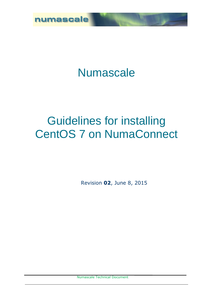

## Numascale

## Guidelines for installing CentOS 7 on NumaConnect

Revision **02**, June 8, 2015

Numascale Technical Document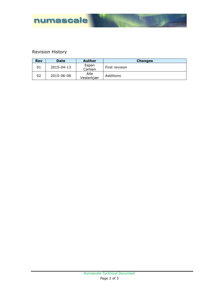

## Revision History

| <b>Rev</b> | <b>Date</b> | Author             | <b>Changes</b> |
|------------|-------------|--------------------|----------------|
| 01         | 2015-04-13  | Espen<br>Carlsen   | First revision |
| 02         | 2015-06-08  | Atle<br>Vesterkjær | Additions      |